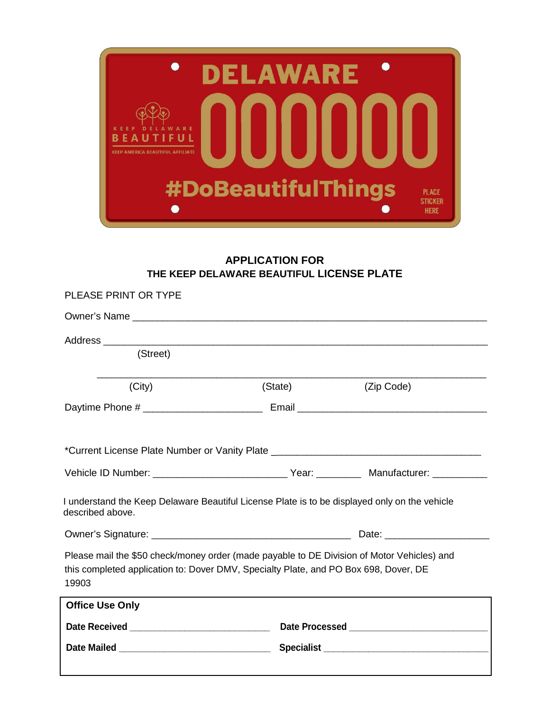

## **APPLICATION FOR THE KEEP DELAWARE BEAUTIFUL LICENSE PLATE**

| PLEASE PRINT OR TYPE                                                                                                                                                                        |         |            |  |  |  |
|---------------------------------------------------------------------------------------------------------------------------------------------------------------------------------------------|---------|------------|--|--|--|
|                                                                                                                                                                                             |         |            |  |  |  |
|                                                                                                                                                                                             |         |            |  |  |  |
| (Street)                                                                                                                                                                                    |         |            |  |  |  |
| (City)                                                                                                                                                                                      | (State) | (Zip Code) |  |  |  |
|                                                                                                                                                                                             |         |            |  |  |  |
|                                                                                                                                                                                             |         |            |  |  |  |
|                                                                                                                                                                                             |         |            |  |  |  |
| Vehicle ID Number: __________________________________Year: _____________________ Manufacturer: _______________                                                                              |         |            |  |  |  |
| I understand the Keep Delaware Beautiful License Plate is to be displayed only on the vehicle<br>described above.                                                                           |         |            |  |  |  |
|                                                                                                                                                                                             |         |            |  |  |  |
| Please mail the \$50 check/money order (made payable to DE Division of Motor Vehicles) and<br>this completed application to: Dover DMV, Specialty Plate, and PO Box 698, Dover, DE<br>19903 |         |            |  |  |  |
| <b>Office Use Only</b>                                                                                                                                                                      |         |            |  |  |  |
|                                                                                                                                                                                             |         |            |  |  |  |
|                                                                                                                                                                                             |         |            |  |  |  |